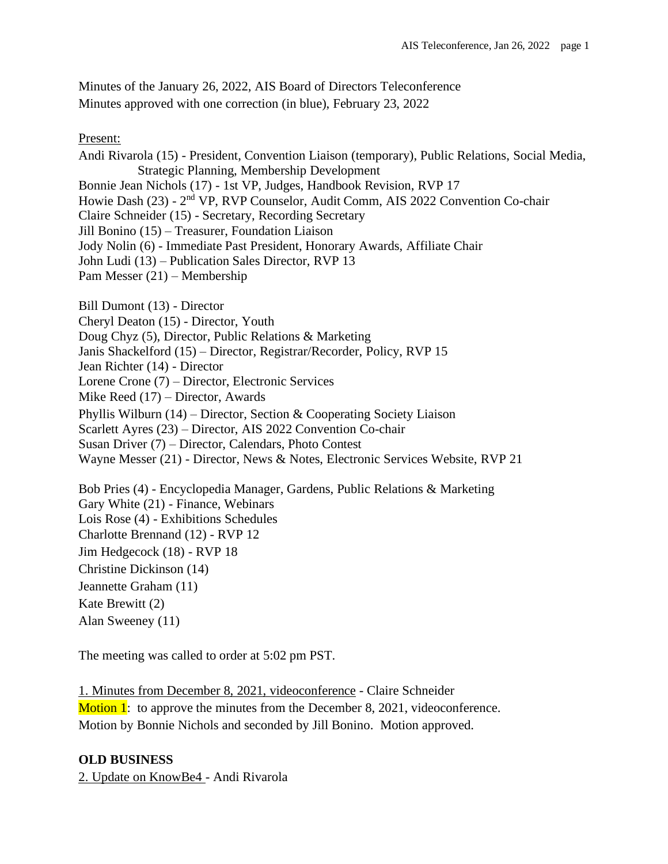Minutes of the January 26, 2022, AIS Board of Directors Teleconference Minutes approved with one correction (in blue), February 23, 2022

Present:

Andi Rivarola (15) - President, Convention Liaison (temporary), Public Relations, Social Media, Strategic Planning, Membership Development Bonnie Jean Nichols (17) - 1st VP, Judges, Handbook Revision, RVP 17 Howie Dash (23) - 2<sup>nd</sup> VP, RVP Counselor, Audit Comm, AIS 2022 Convention Co-chair Claire Schneider (15) - Secretary, Recording Secretary Jill Bonino (15) – Treasurer, Foundation Liaison Jody Nolin (6) - Immediate Past President, Honorary Awards, Affiliate Chair John Ludi (13) – Publication Sales Director, RVP 13 Pam Messer (21) – Membership

Bill Dumont (13) - Director

Cheryl Deaton (15) - Director, Youth

Doug Chyz (5), Director, Public Relations & Marketing

Janis Shackelford (15) – Director, Registrar/Recorder, Policy, RVP 15

Jean Richter (14) - Director

Lorene Crone (7) – Director, Electronic Services

Mike Reed (17) – Director, Awards

Phyllis Wilburn (14) – Director, Section & Cooperating Society Liaison

Scarlett Ayres (23) – Director, AIS 2022 Convention Co-chair

Susan Driver (7) – Director, Calendars, Photo Contest

Wayne Messer (21) - Director, News & Notes, Electronic Services Website, RVP 21

Bob Pries (4) - Encyclopedia Manager, Gardens, Public Relations & Marketing Gary White (21) - Finance, Webinars Lois Rose (4) - Exhibitions Schedules Charlotte Brennand (12) - RVP 12 Jim Hedgecock (18) - RVP 18 Christine Dickinson (14) Jeannette Graham (11) Kate Brewitt (2) Alan Sweeney (11)

The meeting was called to order at 5:02 pm PST.

1. Minutes from December 8, 2021, videoconference - Claire Schneider **Motion 1:** to approve the minutes from the December 8, 2021, videoconference. Motion by Bonnie Nichols and seconded by Jill Bonino. Motion approved.

#### **OLD BUSINESS**

2. Update on KnowBe4 - Andi Rivarola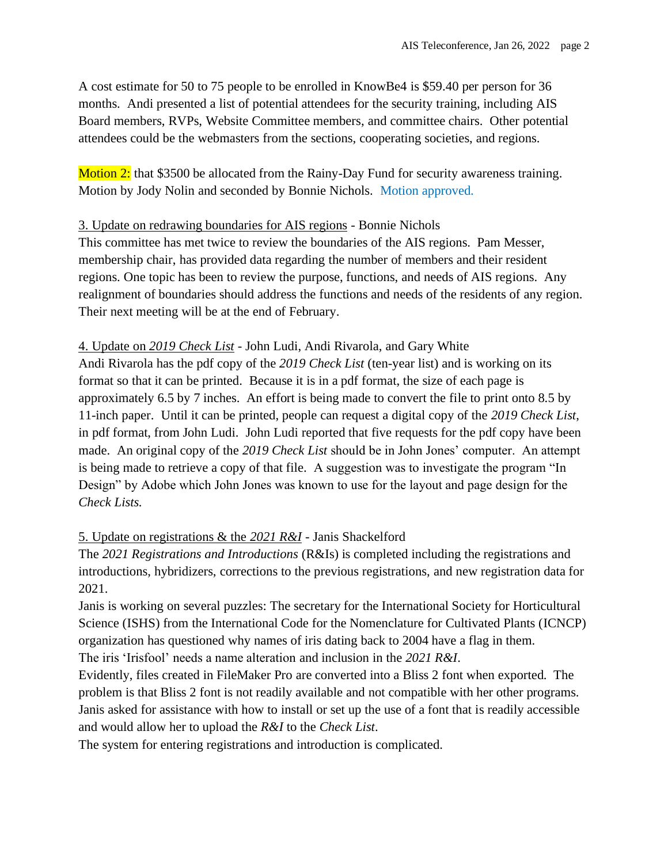A cost estimate for 50 to 75 people to be enrolled in KnowBe4 is \$59.40 per person for 36 months. Andi presented a list of potential attendees for the security training, including AIS Board members, RVPs, Website Committee members, and committee chairs. Other potential attendees could be the webmasters from the sections, cooperating societies, and regions.

Motion 2: that \$3500 be allocated from the Rainy-Day Fund for security awareness training. Motion by Jody Nolin and seconded by Bonnie Nichols. Motion approved.

## 3. Update on redrawing boundaries for AIS regions - Bonnie Nichols

This committee has met twice to review the boundaries of the AIS regions. Pam Messer, membership chair, has provided data regarding the number of members and their resident regions. One topic has been to review the purpose, functions, and needs of AIS regions. Any realignment of boundaries should address the functions and needs of the residents of any region. Their next meeting will be at the end of February.

# 4. Update on *2019 Check List* - John Ludi, Andi Rivarola, and Gary White

Andi Rivarola has the pdf copy of the *2019 Check List* (ten-year list) and is working on its format so that it can be printed. Because it is in a pdf format, the size of each page is approximately 6.5 by 7 inches. An effort is being made to convert the file to print onto 8.5 by 11-inch paper. Until it can be printed, people can request a digital copy of the *2019 Check List*, in pdf format, from John Ludi. John Ludi reported that five requests for the pdf copy have been made. An original copy of the *2019 Check List* should be in John Jones' computer. An attempt is being made to retrieve a copy of that file. A suggestion was to investigate the program "In Design" by Adobe which John Jones was known to use for the layout and page design for the *Check Lists.* 

## 5. Update on registrations & the *2021 R&I* - Janis Shackelford

The *2021 Registrations and Introductions* (R&Is) is completed including the registrations and introductions, hybridizers, corrections to the previous registrations, and new registration data for 2021.

Janis is working on several puzzles: The secretary for the International Society for Horticultural Science (ISHS) from the International Code for the Nomenclature for Cultivated Plants (ICNCP) organization has questioned why names of iris dating back to 2004 have a flag in them.

The iris 'Irisfool' needs a name alteration and inclusion in the *2021 R&I*.

Evidently, files created in FileMaker Pro are converted into a Bliss 2 font when exported. The problem is that Bliss 2 font is not readily available and not compatible with her other programs. Janis asked for assistance with how to install or set up the use of a font that is readily accessible and would allow her to upload the *R&I* to the *Check List*.

The system for entering registrations and introduction is complicated.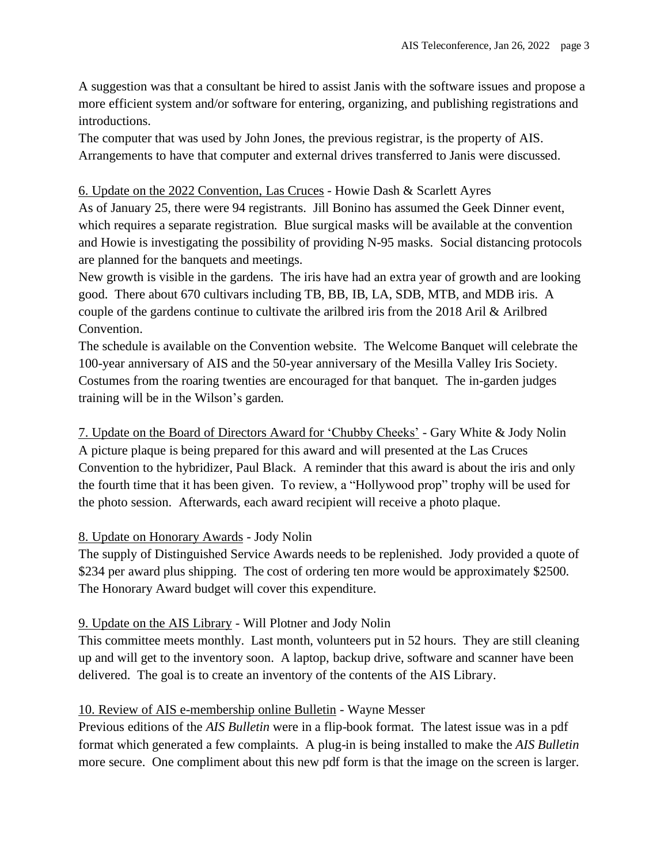A suggestion was that a consultant be hired to assist Janis with the software issues and propose a more efficient system and/or software for entering, organizing, and publishing registrations and introductions.

The computer that was used by John Jones, the previous registrar, is the property of AIS. Arrangements to have that computer and external drives transferred to Janis were discussed.

### 6. Update on the 2022 Convention, Las Cruces - Howie Dash & Scarlett Ayres

As of January 25, there were 94 registrants. Jill Bonino has assumed the Geek Dinner event, which requires a separate registration. Blue surgical masks will be available at the convention and Howie is investigating the possibility of providing N-95 masks. Social distancing protocols are planned for the banquets and meetings.

New growth is visible in the gardens. The iris have had an extra year of growth and are looking good. There about 670 cultivars including TB, BB, IB, LA, SDB, MTB, and MDB iris. A couple of the gardens continue to cultivate the arilbred iris from the 2018 Aril & Arilbred Convention.

The schedule is available on the Convention website. The Welcome Banquet will celebrate the 100-year anniversary of AIS and the 50-year anniversary of the Mesilla Valley Iris Society. Costumes from the roaring twenties are encouraged for that banquet. The in-garden judges training will be in the Wilson's garden.

7. Update on the Board of Directors Award for 'Chubby Cheeks' - Gary White & Jody Nolin A picture plaque is being prepared for this award and will presented at the Las Cruces Convention to the hybridizer, Paul Black. A reminder that this award is about the iris and only the fourth time that it has been given. To review, a "Hollywood prop" trophy will be used for the photo session. Afterwards, each award recipient will receive a photo plaque.

#### 8. Update on Honorary Awards - Jody Nolin

The supply of Distinguished Service Awards needs to be replenished. Jody provided a quote of \$234 per award plus shipping. The cost of ordering ten more would be approximately \$2500. The Honorary Award budget will cover this expenditure.

## 9. Update on the AIS Library - Will Plotner and Jody Nolin

This committee meets monthly. Last month, volunteers put in 52 hours. They are still cleaning up and will get to the inventory soon. A laptop, backup drive, software and scanner have been delivered. The goal is to create an inventory of the contents of the AIS Library.

#### 10. Review of AIS e-membership online Bulletin - Wayne Messer

Previous editions of the *AIS Bulletin* were in a flip-book format. The latest issue was in a pdf format which generated a few complaints. A plug-in is being installed to make the *AIS Bulletin* more secure. One compliment about this new pdf form is that the image on the screen is larger.